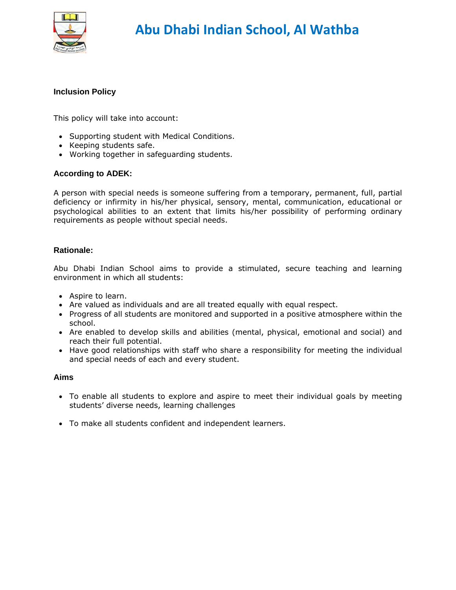

#### **Inclusion Policy**

This policy will take into account:

- Supporting student with Medical Conditions.
- Keeping students safe.
- Working together in safeguarding students.

#### **According to ADEK:**

A person with special needs is someone suffering from a temporary, permanent, full, partial deficiency or infirmity in his/her physical, sensory, mental, communication, educational or psychological abilities to an extent that limits his/her possibility of performing ordinary requirements as people without special needs.

#### **Rationale:**

Abu Dhabi Indian School aims to provide a stimulated, secure teaching and learning environment in which all students:

- Aspire to learn.
- Are valued as individuals and are all treated equally with equal respect.
- Progress of all students are monitored and supported in a positive atmosphere within the school.
- Are enabled to develop skills and abilities (mental, physical, emotional and social) and reach their full potential.
- Have good relationships with staff who share a responsibility for meeting the individual and special needs of each and every student.

#### **Aims**

- To enable all students to explore and aspire to meet their individual goals by meeting students' diverse needs, learning challenges
- To make all students confident and independent learners.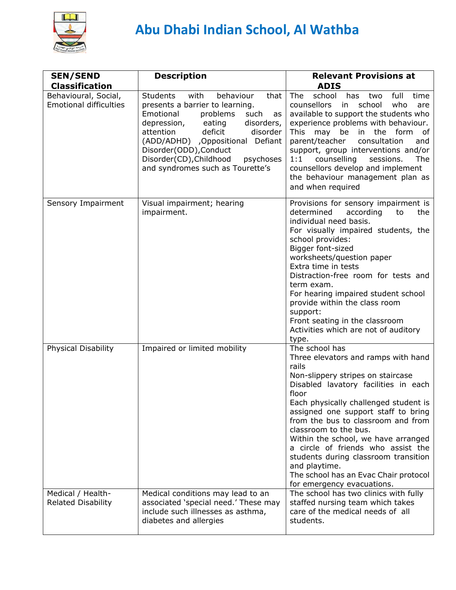

| <b>SEN/SEND</b><br><b>Classification</b>              | <b>Description</b>                                                                                                                                                                                                                                                                                                                       | <b>Relevant Provisions at</b><br><b>ADIS</b>                                                                                                                                                                                                                                                                                                                                                                                                                                                                     |
|-------------------------------------------------------|------------------------------------------------------------------------------------------------------------------------------------------------------------------------------------------------------------------------------------------------------------------------------------------------------------------------------------------|------------------------------------------------------------------------------------------------------------------------------------------------------------------------------------------------------------------------------------------------------------------------------------------------------------------------------------------------------------------------------------------------------------------------------------------------------------------------------------------------------------------|
| Behavioural, Social,<br><b>Emotional difficulties</b> | with<br>that<br><b>Students</b><br>behaviour<br>presents a barrier to learning.<br>Emotional<br>problems<br>such<br>as<br>depression, eating<br>disorders,<br>attention<br>deficit<br>disorder<br>(ADD/ADHD) ,Oppositional Defiant<br>Disorder(ODD), Conduct<br>Disorder(CD), Childhood<br>psychoses<br>and syndromes such as Tourette's | school<br>The<br>full<br>has<br>two<br>time<br>counsellors<br>school<br>who<br>in<br>are<br>available to support the students who<br>experience problems with behaviour.<br>the form<br>This<br>may be in<br>оf<br>consultation<br>parent/teacher<br>and<br>support, group interventions and/or<br>counselling<br>sessions.<br>1:1<br>The<br>counsellors develop and implement<br>the behaviour management plan as<br>and when required                                                                          |
| Sensory Impairment                                    | Visual impairment; hearing<br>impairment.                                                                                                                                                                                                                                                                                                | Provisions for sensory impairment is<br>determined<br>according<br>to<br>the<br>individual need basis.<br>For visually impaired students, the<br>school provides:<br>Bigger font-sized<br>worksheets/question paper<br>Extra time in tests<br>Distraction-free room for tests and<br>term exam.<br>For hearing impaired student school<br>provide within the class room<br>support:<br>Front seating in the classroom<br>Activities which are not of auditory<br>type.                                           |
| Physical Disability                                   | Impaired or limited mobility                                                                                                                                                                                                                                                                                                             | The school has<br>Three elevators and ramps with hand<br>rails<br>Non-slippery stripes on staircase<br>Disabled lavatory facilities in each<br>floor<br>Each physically challenged student is<br>assigned one support staff to bring<br>from the bus to classroom and from<br>classroom to the bus.<br>Within the school, we have arranged<br>a circle of friends who assist the<br>students during classroom transition<br>and playtime.<br>The school has an Evac Chair protocol<br>for emergency evacuations. |
| Medical / Health-<br><b>Related Disability</b>        | Medical conditions may lead to an<br>associated 'special need.' These may<br>include such illnesses as asthma,<br>diabetes and allergies                                                                                                                                                                                                 | The school has two clinics with fully<br>staffed nursing team which takes<br>care of the medical needs of all<br>students.                                                                                                                                                                                                                                                                                                                                                                                       |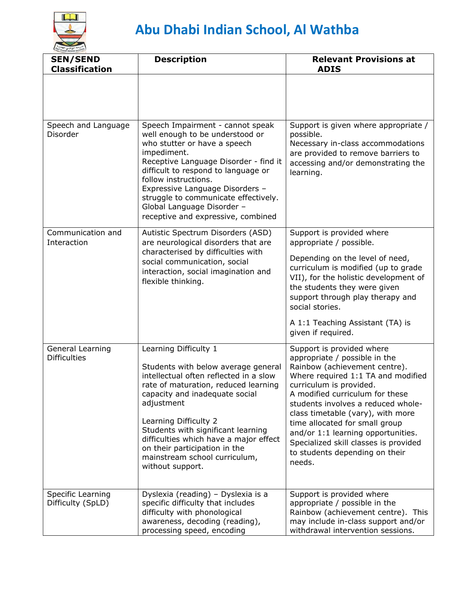

| <b>SEN/SEND</b><br><b>Classification</b> | <b>Description</b>                                                                                                                                                                                                                                                                                                                                                                            | <b>Relevant Provisions at</b><br><b>ADIS</b>                                                                                                                                                                                                                                                                                                                                                                                            |
|------------------------------------------|-----------------------------------------------------------------------------------------------------------------------------------------------------------------------------------------------------------------------------------------------------------------------------------------------------------------------------------------------------------------------------------------------|-----------------------------------------------------------------------------------------------------------------------------------------------------------------------------------------------------------------------------------------------------------------------------------------------------------------------------------------------------------------------------------------------------------------------------------------|
|                                          |                                                                                                                                                                                                                                                                                                                                                                                               |                                                                                                                                                                                                                                                                                                                                                                                                                                         |
| Speech and Language<br>Disorder          | Speech Impairment - cannot speak<br>well enough to be understood or<br>who stutter or have a speech<br>impediment.<br>Receptive Language Disorder - find it<br>difficult to respond to language or<br>follow instructions.<br>Expressive Language Disorders -<br>struggle to communicate effectively.<br>Global Language Disorder -<br>receptive and expressive, combined                     | Support is given where appropriate /<br>possible.<br>Necessary in-class accommodations<br>are provided to remove barriers to<br>accessing and/or demonstrating the<br>learning.                                                                                                                                                                                                                                                         |
| Communication and<br>Interaction         | Autistic Spectrum Disorders (ASD)<br>are neurological disorders that are<br>characterised by difficulties with<br>social communication, social<br>interaction, social imagination and<br>flexible thinking.                                                                                                                                                                                   | Support is provided where<br>appropriate / possible.<br>Depending on the level of need,<br>curriculum is modified (up to grade<br>VII), for the holistic development of<br>the students they were given<br>support through play therapy and<br>social stories.<br>A 1:1 Teaching Assistant (TA) is<br>given if required.                                                                                                                |
| General Learning<br><b>Difficulties</b>  | Learning Difficulty 1<br>Students with below average general<br>intellectual often reflected in a slow<br>rate of maturation, reduced learning<br>capacity and inadequate social<br>adjustment<br>Learning Difficulty 2<br>Students with significant learning<br>difficulties which have a major effect<br>on their participation in the<br>mainstream school curriculum,<br>without support. | Support is provided where<br>appropriate / possible in the<br>Rainbow (achievement centre).<br>Where required 1:1 TA and modified<br>curriculum is provided.<br>A modified curriculum for these<br>students involves a reduced whole-<br>class timetable (vary), with more<br>time allocated for small group<br>and/or 1:1 learning opportunities.<br>Specialized skill classes is provided<br>to students depending on their<br>needs. |
| Specific Learning<br>Difficulty (SpLD)   | Dyslexia (reading) - Dyslexia is a<br>specific difficulty that includes<br>difficulty with phonological<br>awareness, decoding (reading),<br>processing speed, encoding                                                                                                                                                                                                                       | Support is provided where<br>appropriate / possible in the<br>Rainbow (achievement centre). This<br>may include in-class support and/or<br>withdrawal intervention sessions.                                                                                                                                                                                                                                                            |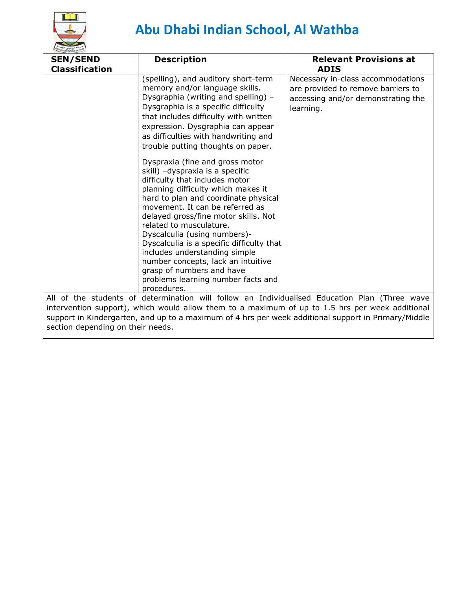

| <b>SEN/SEND</b><br><b>Classification</b>                                                        | <b>Description</b>                                                                                                                                                                                                                                                                                                                                                                                                                                                                                                             | <b>Relevant Provisions at</b><br><b>ADIS</b>                                                                               |
|-------------------------------------------------------------------------------------------------|--------------------------------------------------------------------------------------------------------------------------------------------------------------------------------------------------------------------------------------------------------------------------------------------------------------------------------------------------------------------------------------------------------------------------------------------------------------------------------------------------------------------------------|----------------------------------------------------------------------------------------------------------------------------|
|                                                                                                 | (spelling), and auditory short-term<br>memory and/or language skills.<br>Dysgraphia (writing and spelling) -<br>Dysgraphia is a specific difficulty<br>that includes difficulty with written<br>expression. Dysgraphia can appear<br>as difficulties with handwriting and<br>trouble putting thoughts on paper.                                                                                                                                                                                                                | Necessary in-class accommodations<br>are provided to remove barriers to<br>accessing and/or demonstrating the<br>learning. |
|                                                                                                 | Dyspraxia (fine and gross motor<br>skill) -dyspraxia is a specific<br>difficulty that includes motor<br>planning difficulty which makes it<br>hard to plan and coordinate physical<br>movement. It can be referred as<br>delayed gross/fine motor skills. Not<br>related to musculature.<br>Dyscalculia (using numbers)-<br>Dyscalculia is a specific difficulty that<br>includes understanding simple<br>number concepts, lack an intuitive<br>grasp of numbers and have<br>problems learning number facts and<br>procedures. |                                                                                                                            |
|                                                                                                 | All of the students of determination will follow an Individualised Education Plan (Three wave                                                                                                                                                                                                                                                                                                                                                                                                                                  |                                                                                                                            |
| intervention support), which would allow them to a maximum of up to 1.5 hrs per week additional |                                                                                                                                                                                                                                                                                                                                                                                                                                                                                                                                |                                                                                                                            |
|                                                                                                 | support in Kindergarten, and up to a maximum of 4 hrs per week additional support in Primary/Middle                                                                                                                                                                                                                                                                                                                                                                                                                            |                                                                                                                            |
| section depending on their needs.                                                               |                                                                                                                                                                                                                                                                                                                                                                                                                                                                                                                                |                                                                                                                            |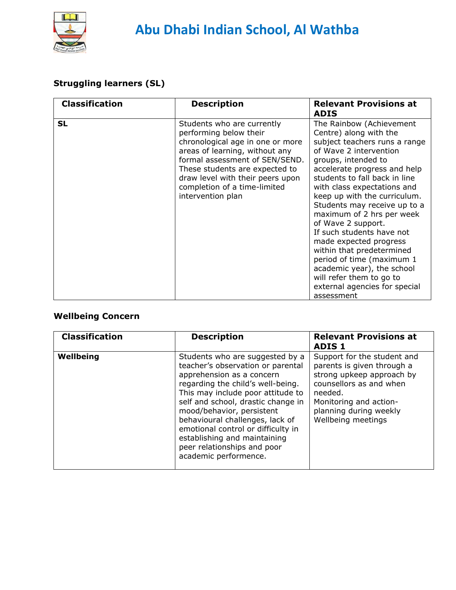

## **Struggling learners (SL)**

| <b>Classification</b> | <b>Description</b>                                                                                                                                                                                                                                                                      | <b>Relevant Provisions at</b><br><b>ADIS</b>                                                                                                                                                                                                                                                                                                                                                                                                                                                                                                                                      |
|-----------------------|-----------------------------------------------------------------------------------------------------------------------------------------------------------------------------------------------------------------------------------------------------------------------------------------|-----------------------------------------------------------------------------------------------------------------------------------------------------------------------------------------------------------------------------------------------------------------------------------------------------------------------------------------------------------------------------------------------------------------------------------------------------------------------------------------------------------------------------------------------------------------------------------|
| <b>SL</b>             | Students who are currently<br>performing below their<br>chronological age in one or more<br>areas of learning, without any<br>formal assessment of SEN/SEND.<br>These students are expected to<br>draw level with their peers upon<br>completion of a time-limited<br>intervention plan | The Rainbow (Achievement<br>Centre) along with the<br>subject teachers runs a range<br>of Wave 2 intervention<br>groups, intended to<br>accelerate progress and help<br>students to fall back in line<br>with class expectations and<br>keep up with the curriculum.<br>Students may receive up to a<br>maximum of 2 hrs per week<br>of Wave 2 support.<br>If such students have not<br>made expected progress<br>within that predetermined<br>period of time (maximum 1<br>academic year), the school<br>will refer them to go to<br>external agencies for special<br>assessment |

## **Wellbeing Concern**

| <b>Classification</b> | <b>Description</b>                                                                                                                                                                                                                                                                                                                                                                                              | <b>Relevant Provisions at</b><br><b>ADIS1</b>                                                                                                                                                          |
|-----------------------|-----------------------------------------------------------------------------------------------------------------------------------------------------------------------------------------------------------------------------------------------------------------------------------------------------------------------------------------------------------------------------------------------------------------|--------------------------------------------------------------------------------------------------------------------------------------------------------------------------------------------------------|
| Wellbeing             | Students who are suggested by a<br>teacher's observation or parental<br>apprehension as a concern<br>regarding the child's well-being.<br>This may include poor attitude to<br>self and school, drastic change in<br>mood/behavior, persistent<br>behavioural challenges, lack of<br>emotional control or difficulty in<br>establishing and maintaining<br>peer relationships and poor<br>academic performence. | Support for the student and<br>parents is given through a<br>strong upkeep approach by<br>counsellors as and when<br>needed.<br>Monitoring and action-<br>planning during weekly<br>Wellbeing meetings |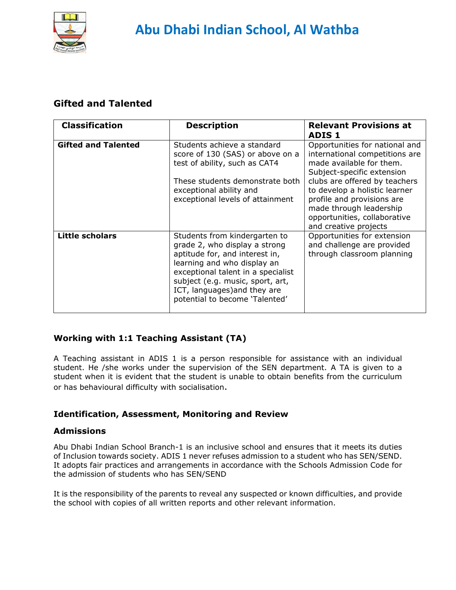

## **Gifted and Talented**

| <b>Classification</b>      | <b>Description</b>                                                                                                                                                                                                                                                          | <b>Relevant Provisions at</b><br>ADIS 1                                                                                                                                                                                                                                                                        |
|----------------------------|-----------------------------------------------------------------------------------------------------------------------------------------------------------------------------------------------------------------------------------------------------------------------------|----------------------------------------------------------------------------------------------------------------------------------------------------------------------------------------------------------------------------------------------------------------------------------------------------------------|
| <b>Gifted and Talented</b> | Students achieve a standard<br>score of 130 (SAS) or above on a<br>test of ability, such as CAT4<br>These students demonstrate both<br>exceptional ability and<br>exceptional levels of attainment                                                                          | Opportunities for national and<br>international competitions are<br>made available for them.<br>Subject-specific extension<br>clubs are offered by teachers<br>to develop a holistic learner<br>profile and provisions are<br>made through leadership<br>opportunities, collaborative<br>and creative projects |
| <b>Little scholars</b>     | Students from kindergarten to<br>grade 2, who display a strong<br>aptitude for, and interest in,<br>learning and who display an<br>exceptional talent in a specialist<br>subject (e.g. music, sport, art,<br>ICT, languages) and they are<br>potential to become 'Talented' | Opportunities for extension<br>and challenge are provided<br>through classroom planning                                                                                                                                                                                                                        |

### **Working with 1:1 Teaching Assistant (TA)**

A Teaching assistant in ADIS 1 is a person responsible for assistance with an individual student. He /she works under the supervision of the SEN department. A TA is given to a student when it is evident that the student is unable to obtain benefits from the curriculum or has behavioural difficulty with socialisation.

#### **Identification, Assessment, Monitoring and Review**

#### **Admissions**

Abu Dhabi Indian School Branch-1 is an inclusive school and ensures that it meets its duties of Inclusion towards society. ADIS 1 never refuses admission to a student who has SEN/SEND. It adopts fair practices and arrangements in accordance with the Schools Admission Code for the admission of students who has SEN/SEND

It is the responsibility of the parents to reveal any suspected or known difficulties, and provide the school with copies of all written reports and other relevant information.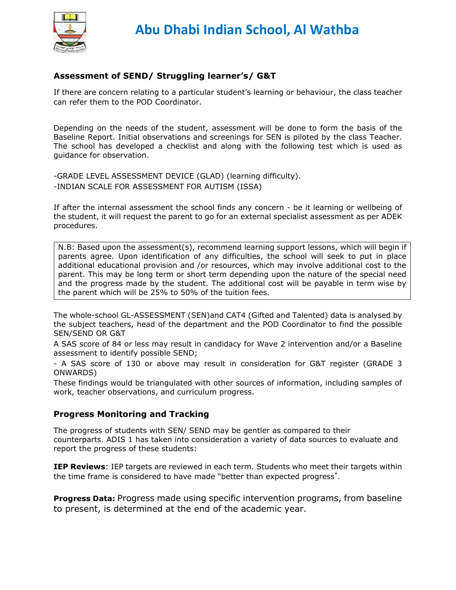

#### **Assessment of SEND/ Struggling learner's/ G&T**

If there are concern relating to a particular student's learning or behaviour, the class teacher can refer them to the POD Coordinator.

Depending on the needs of the student, assessment will be done to form the basis of the Baseline Report. Initial observations and screenings for SEN is piloted by the class Teacher. The school has developed a checklist and along with the following test which is used as guidance for observation.

-GRADE LEVEL ASSESSMENT DEVICE (GLAD) (learning difficulty). -INDIAN SCALE FOR ASSESSMENT FOR AUTISM (ISSA)

If after the internal assessment the school finds any concern - be it learning or wellbeing of the student, it will request the parent to go for an external specialist assessment as per ADEK procedures.

N.B: Based upon the assessment(s), recommend learning support lessons, which will begin if parents agree. Upon identification of any difficulties, the school will seek to put in place additional educational provision and /or resources, which may involve additional cost to the parent. This may be long term or short term depending upon the nature of the special need and the progress made by the student. The additional cost will be payable in term wise by the parent which will be 25% to 50% of the tuition fees.

The whole-school GL-ASSESSMENT (SEN)and CAT4 (Gifted and Talented) data is analysed by the subject teachers, head of the department and the POD Coordinator to find the possible SEN/SEND OR G&T

A SAS score of 84 or less may result in candidacy for Wave 2 intervention and/or a Baseline assessment to identify possible SEND;

- A SAS score of 130 or above may result in consideration for G&T register (GRADE 3 ONWARDS)

These findings would be triangulated with other sources of information, including samples of work, teacher observations, and curriculum progress.

#### **Progress Monitoring and Tracking**

The progress of students with SEN/ SEND may be gentler as compared to their counterparts. ADIS 1 has taken into consideration a variety of data sources to evaluate and report the progress of these students:

**IEP Reviews**: IEP targets are reviewed in each term. Students who meet their targets within the time frame is considered to have made "better than expected progress".

**Progress Data:** Progress made using specific intervention programs, from baseline to present, is determined at the end of the academic year.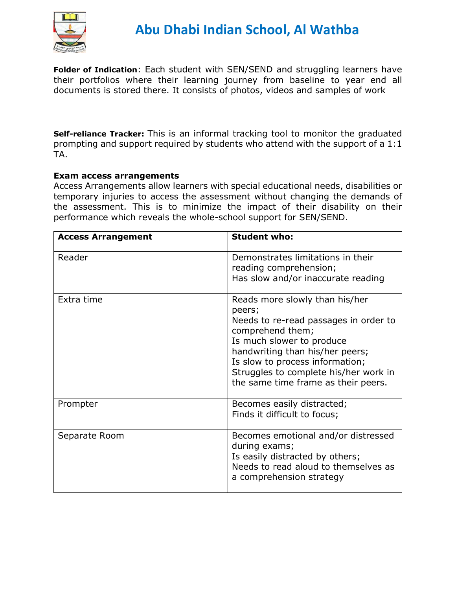

**Folder of Indication**: Each student with SEN/SEND and struggling learners have their portfolios where their learning journey from baseline to year end all documents is stored there. It consists of photos, videos and samples of work

**Self-reliance Tracker:** This is an informal tracking tool to monitor the graduated prompting and support required by students who attend with the support of a 1:1 TA.

#### **Exam access arrangements**

Access Arrangements allow learners with special educational needs, disabilities or temporary injuries to access the assessment without changing the demands of the assessment. This is to minimize the impact of their disability on their performance which reveals the whole-school support for SEN/SEND.

| <b>Access Arrangement</b> | <b>Student who:</b>                                                                                                                                                                                                                                                                      |
|---------------------------|------------------------------------------------------------------------------------------------------------------------------------------------------------------------------------------------------------------------------------------------------------------------------------------|
| Reader                    | Demonstrates limitations in their<br>reading comprehension;<br>Has slow and/or inaccurate reading                                                                                                                                                                                        |
| Extra time                | Reads more slowly than his/her<br>peers;<br>Needs to re-read passages in order to<br>comprehend them;<br>Is much slower to produce<br>handwriting than his/her peers;<br>Is slow to process information;<br>Struggles to complete his/her work in<br>the same time frame as their peers. |
| Prompter                  | Becomes easily distracted;<br>Finds it difficult to focus;                                                                                                                                                                                                                               |
| Separate Room             | Becomes emotional and/or distressed<br>during exams;<br>Is easily distracted by others;<br>Needs to read aloud to themselves as<br>a comprehension strategy                                                                                                                              |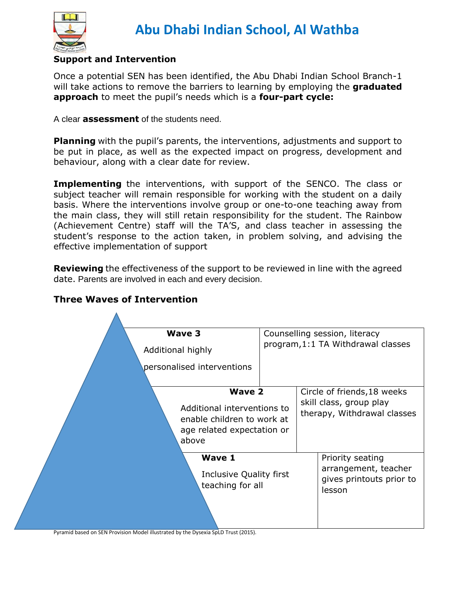

### **Support and Intervention**

Once a potential SEN has been identified, the Abu Dhabi Indian School Branch-1 will take actions to remove the barriers to learning by employing the **graduated approach** to meet the pupil's needs which is a **four-part cycle:**

A clear **assessment** of the students need.

**Planning** with the pupil's parents, the interventions, adjustments and support to be put in place, as well as the expected impact on progress, development and behaviour, along with a clear date for review.

**Implementing** the interventions, with support of the SENCO. The class or subject teacher will remain responsible for working with the student on a daily basis. Where the interventions involve group or one-to-one teaching away from the main class, they will still retain responsibility for the student. The Rainbow (Achievement Centre) staff will the TA'S, and class teacher in assessing the student's response to the action taken, in problem solving, and advising the effective implementation of support

**Reviewing** the effectiveness of the support to be reviewed in line with the agreed date. Parents are involved in each and every decision.



### **Three Waves of Intervention**

Pyramid based on SEN Provision Model illustrated by the Dysexia SpLD Trust (2015).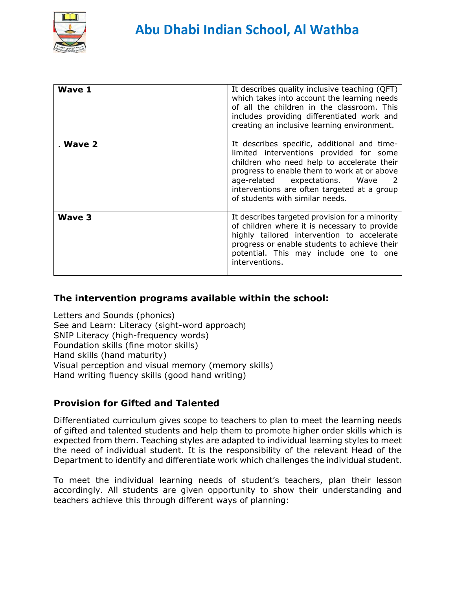

| <b>Wave 1</b> | It describes quality inclusive teaching (QFT)<br>which takes into account the learning needs<br>of all the children in the classroom. This<br>includes providing differentiated work and<br>creating an inclusive learning environment.                                                                 |
|---------------|---------------------------------------------------------------------------------------------------------------------------------------------------------------------------------------------------------------------------------------------------------------------------------------------------------|
| . Wave 2      | It describes specific, additional and time-<br>limited interventions provided for some<br>children who need help to accelerate their<br>progress to enable them to work at or above<br>age-related expectations. Wave<br>interventions are often targeted at a group<br>of students with similar needs. |
| Wave 3        | It describes targeted provision for a minority<br>of children where it is necessary to provide<br>highly tailored intervention to accelerate<br>progress or enable students to achieve their<br>potential. This may include one to one<br>interventions.                                                |

## **The intervention programs available within the school:**

Letters and Sounds (phonics) See and Learn: Literacy (sight-word approach) SNIP Literacy (high-frequency words) Foundation skills (fine motor skills) Hand skills (hand maturity) Visual perception and visual memory (memory skills) Hand writing fluency skills (good hand writing)

## **Provision for Gifted and Talented**

Differentiated curriculum gives scope to teachers to plan to meet the learning needs of gifted and talented students and help them to promote higher order skills which is expected from them. Teaching styles are adapted to individual learning styles to meet the need of individual student. It is the responsibility of the relevant Head of the Department to identify and differentiate work which challenges the individual student.

To meet the individual learning needs of student's teachers, plan their lesson accordingly. All students are given opportunity to show their understanding and teachers achieve this through different ways of planning: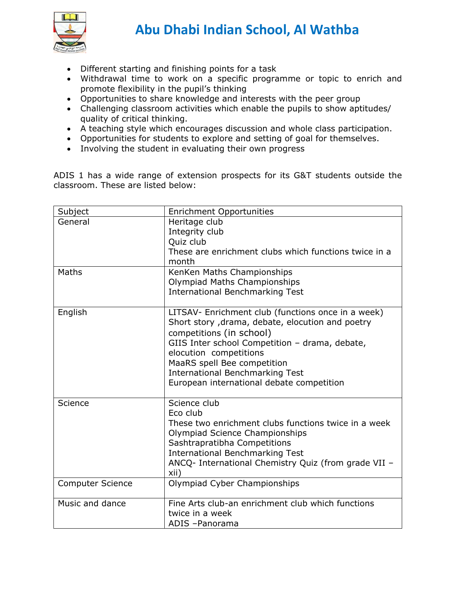

- Different starting and finishing points for a task
- Withdrawal time to work on a specific programme or topic to enrich and promote flexibility in the pupil's thinking
- Opportunities to share knowledge and interests with the peer group
- Challenging classroom activities which enable the pupils to show aptitudes/ quality of critical thinking.
- A teaching style which encourages discussion and whole class participation.
- Opportunities for students to explore and setting of goal for themselves.
- Involving the student in evaluating their own progress

ADIS 1 has a wide range of extension prospects for its G&T students outside the classroom. These are listed below:

| Subject                 | <b>Enrichment Opportunities</b>                                                                                                    |
|-------------------------|------------------------------------------------------------------------------------------------------------------------------------|
| General                 | Heritage club                                                                                                                      |
|                         | Integrity club                                                                                                                     |
|                         | Quiz club                                                                                                                          |
|                         | These are enrichment clubs which functions twice in a<br>month                                                                     |
| Maths                   | KenKen Maths Championships                                                                                                         |
|                         | Olympiad Maths Championships                                                                                                       |
|                         | <b>International Benchmarking Test</b>                                                                                             |
| English                 | LITSAV- Enrichment club (functions once in a week)<br>Short story, drama, debate, elocution and poetry<br>competitions (in school) |
|                         | GIIS Inter school Competition - drama, debate,<br>elocution competitions                                                           |
|                         | MaaRS spell Bee competition                                                                                                        |
|                         | <b>International Benchmarking Test</b>                                                                                             |
|                         | European international debate competition                                                                                          |
| Science                 | Science club<br>Eco club                                                                                                           |
|                         | These two enrichment clubs functions twice in a week<br>Olympiad Science Championships                                             |
|                         | Sashtrapratibha Competitions                                                                                                       |
|                         | <b>International Benchmarking Test</b><br>ANCQ- International Chemistry Quiz (from grade VII -                                     |
|                         | xii)                                                                                                                               |
| <b>Computer Science</b> | Olympiad Cyber Championships                                                                                                       |
| Music and dance         | Fine Arts club-an enrichment club which functions<br>twice in a week                                                               |
|                         | ADIS-Panorama                                                                                                                      |
|                         |                                                                                                                                    |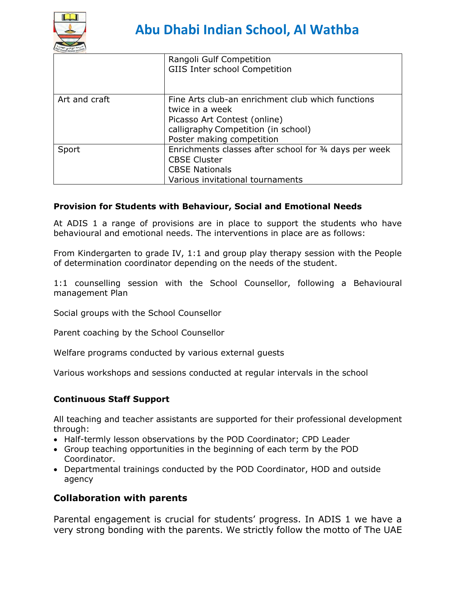

|               | Rangoli Gulf Competition<br>GIIS Inter school Competition                                                                                                                |
|---------------|--------------------------------------------------------------------------------------------------------------------------------------------------------------------------|
| Art and craft | Fine Arts club-an enrichment club which functions<br>twice in a week<br>Picasso Art Contest (online)<br>calligraphy Competition (in school)<br>Poster making competition |
| Sport         | Enrichments classes after school for 34 days per week<br><b>CBSE Cluster</b><br><b>CBSE Nationals</b><br>Various invitational tournaments                                |

#### **Provision for Students with Behaviour, Social and Emotional Needs**

At ADIS 1 a range of provisions are in place to support the students who have behavioural and emotional needs. The interventions in place are as follows:

From Kindergarten to grade IV, 1:1 and group play therapy session with the People of determination coordinator depending on the needs of the student.

1:1 counselling session with the School Counsellor, following a Behavioural management Plan

Social groups with the School Counsellor

Parent coaching by the School Counsellor

Welfare programs conducted by various external guests

Various workshops and sessions conducted at regular intervals in the school

#### **Continuous Staff Support**

All teaching and teacher assistants are supported for their professional development through:

- Half-termly lesson observations by the POD Coordinator; CPD Leader
- Group teaching opportunities in the beginning of each term by the POD Coordinator.
- Departmental trainings conducted by the POD Coordinator, HOD and outside agency

#### **Collaboration with parents**

Parental engagement is crucial for students' progress. In ADIS 1 we have a very strong bonding with the parents. We strictly follow the motto of The UAE